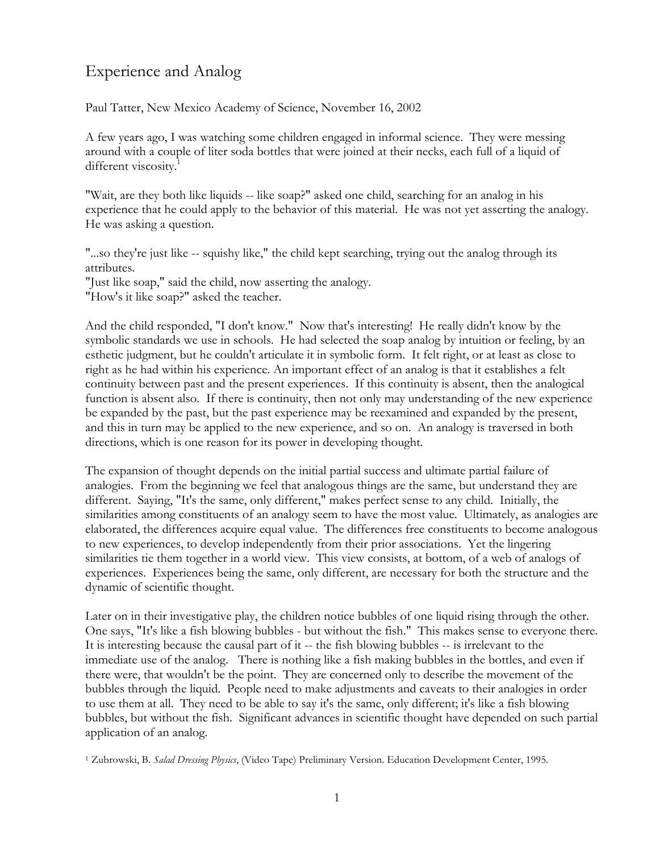## Experience and Analog

Paul Tatter, New Mexico Academy of Science, November 16, 2002

A few years ago, I was watching some children engaged in informal science. They were messing around with a couple of liter soda bottles that were joined at their necks, each full of a liquid of different viscosity.<sup>1</sup>

"Wait, are they both like liquids -- like soap?" asked one child, searching for an analog in his experience that he could apply to the behavior of this material. He was not yet asserting the analogy. He was asking a question.

"...so they're just like -- squishy like," the child kept searching, trying out the analog through its attributes.

"Just like soap," said the child, now asserting the analogy.

"How's it like soap?" asked the teacher.

And the child responded, "I don't know." Now that's interesting! He really didn't know by the symbolic standards we use in schools. He had selected the soap analog by intuition or feeling, by an esthetic judgment, but he couldn't articulate it in symbolic form. It felt right, or at least as close to right as he had within his experience. An important effect of an analog is that it establishes a felt continuity between past and the present experiences. If this continuity is absent, then the analogical function is absent also. If there is continuity, then not only may understanding of the new experience be expanded by the past, but the past experience may be reexamined and expanded by the present, and this in turn may be applied to the new experience, and so on. An analogy is traversed in both directions, which is one reason for its power in developing thought.

The expansion of thought depends on the initial partial success and ultimate partial failure of analogies. From the beginning we feel that analogous things are the same, but understand they are different. Saying, "It's the same, only different," makes perfect sense to any child. Initially, the similarities among constituents of an analogy seem to have the most value. Ultimately, as analogies are elaborated, the differences acquire equal value. The differences free constituents to become analogous to new experiences, to develop independently from their prior associations. Yet the lingering similarities tie them together in a world view. This view consists, at bottom, of a web of analogs of experiences. Experiences being the same, only different, are necessary for both the structure and the dynamic of scientific thought.

Later on in their investigative play, the children notice bubbles of one liquid rising through the other. One says, "It's like a fish blowing bubbles - but without the fish." This makes sense to everyone there. It is interesting because the causal part of it -- the fish blowing bubbles -- is irrelevant to the immediate use of the analog. There is nothing like a fish making bubbles in the bottles, and even if there were, that wouldn't be the point. They are concerned only to describe the movement of the bubbles through the liquid. People need to make adjustments and caveats to their analogies in order to use them at all. They need to be able to say it's the same, only different; it's like a fish blowing bubbles, but without the fish. Significant advances in scientific thought have depended on such partial application of an analog.

<sup>1</sup> Zubrowski, B. *Salad Dressing Physics*, (Video Tape) Preliminary Version. Education Development Center, 1995.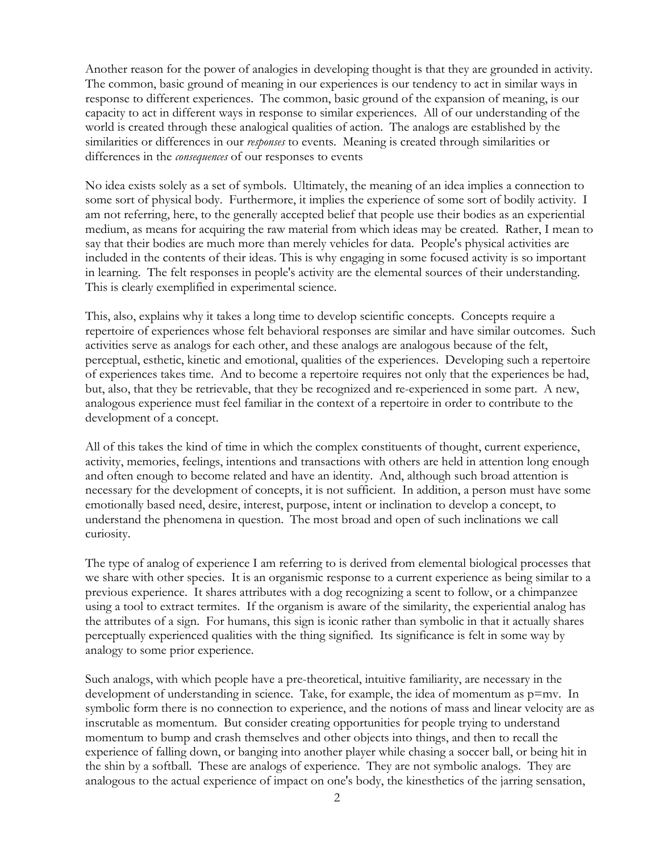Another reason for the power of analogies in developing thought is that they are grounded in activity. The common, basic ground of meaning in our experiences is our tendency to act in similar ways in response to different experiences. The common, basic ground of the expansion of meaning, is our capacity to act in different ways in response to similar experiences. All of our understanding of the world is created through these analogical qualities of action. The analogs are established by the similarities or differences in our *responses* to events. Meaning is created through similarities or differences in the *consequences* of our responses to events

No idea exists solely as a set of symbols. Ultimately, the meaning of an idea implies a connection to some sort of physical body. Furthermore, it implies the experience of some sort of bodily activity. I am not referring, here, to the generally accepted belief that people use their bodies as an experiential medium, as means for acquiring the raw material from which ideas may be created. Rather, I mean to say that their bodies are much more than merely vehicles for data. People's physical activities are included in the contents of their ideas. This is why engaging in some focused activity is so important in learning. The felt responses in people's activity are the elemental sources of their understanding. This is clearly exemplified in experimental science.

This, also, explains why it takes a long time to develop scientific concepts. Concepts require a repertoire of experiences whose felt behavioral responses are similar and have similar outcomes. Such activities serve as analogs for each other, and these analogs are analogous because of the felt, perceptual, esthetic, kinetic and emotional, qualities of the experiences. Developing such a repertoire of experiences takes time. And to become a repertoire requires not only that the experiences be had, but, also, that they be retrievable, that they be recognized and re-experienced in some part. A new, analogous experience must feel familiar in the context of a repertoire in order to contribute to the development of a concept.

All of this takes the kind of time in which the complex constituents of thought, current experience, activity, memories, feelings, intentions and transactions with others are held in attention long enough and often enough to become related and have an identity. And, although such broad attention is necessary for the development of concepts, it is not sufficient. In addition, a person must have some emotionally based need, desire, interest, purpose, intent or inclination to develop a concept, to understand the phenomena in question. The most broad and open of such inclinations we call curiosity.

The type of analog of experience I am referring to is derived from elemental biological processes that we share with other species. It is an organismic response to a current experience as being similar to a previous experience. It shares attributes with a dog recognizing a scent to follow, or a chimpanzee using a tool to extract termites. If the organism is aware of the similarity, the experiential analog has the attributes of a sign. For humans, this sign is iconic rather than symbolic in that it actually shares perceptually experienced qualities with the thing signified. Its significance is felt in some way by analogy to some prior experience.

Such analogs, with which people have a pre-theoretical, intuitive familiarity, are necessary in the development of understanding in science. Take, for example, the idea of momentum as p=mv. In symbolic form there is no connection to experience, and the notions of mass and linear velocity are as inscrutable as momentum. But consider creating opportunities for people trying to understand momentum to bump and crash themselves and other objects into things, and then to recall the experience of falling down, or banging into another player while chasing a soccer ball, or being hit in the shin by a softball. These are analogs of experience. They are not symbolic analogs. They are analogous to the actual experience of impact on one's body, the kinesthetics of the jarring sensation,